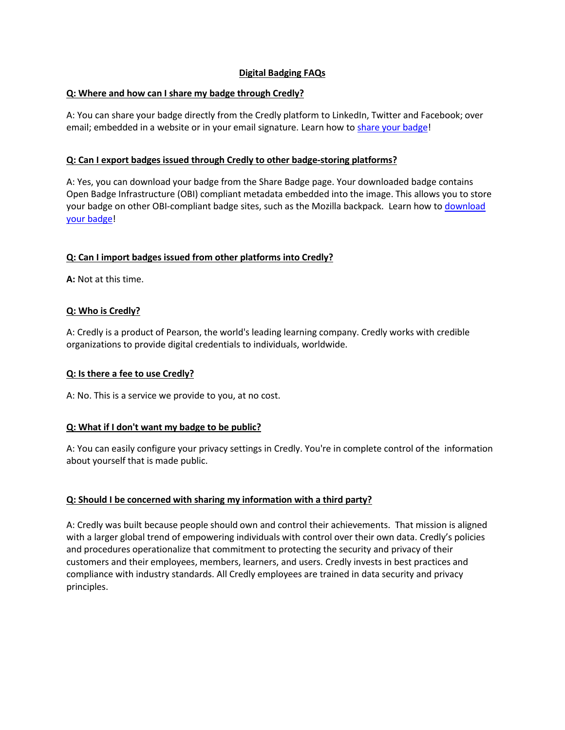# **Digital Badging FAQs**

## **Q: Where and how can I share my badge through Credly?**

A: You can share your badge directly from the Credly platform to LinkedIn, Twitter and Facebook; over email; embedded in a website or in your email signature. Learn how to share your [badge!](http://www.apca.org/maintain-certification/Pages/How-To-Share-Your-APCA-or-ARDMS-Digital-Badge.aspx)

### **Q: Can I export badges issued through Credly to other badge-storing platforms?**

A: Yes, you can download your badge from the Share Badge page. Your downloaded badge contains Open Badge Infrastructure (OBI) compliant metadata embedded into the image. This allows you to store your badge on other OBI-compliant badge sites, such as the Mozilla backpack. Learn how to [download](http://www.apca.org/maintain-certification/Pages/How-To-Share-Your-APCA-or-ARDMS-Digital-Badge.aspx) [your badge!](http://www.apca.org/maintain-certification/Pages/How-To-Share-Your-APCA-or-ARDMS-Digital-Badge.aspx)

### **Q: Can I import badges issued from other platforms into Credly?**

**A:** Not at this time.

### **Q: Who is Credly?**

A: Credly is a product of Pearson, the world's leading learning company. Credly works with credible organizations to provide digital credentials to individuals, worldwide.

#### **Q: Is there a fee to use Credly?**

A: No. This is a service we provide to you, at no cost.

#### **Q: What if I don't want my badge to be public?**

A: You can easily configure your privacy settings in Credly. You're in complete control of the information about yourself that is made public.

#### **Q: Should I be concerned with sharing my information with a third party?**

A: Credly was built because people should own and control their achievements. That mission is aligned with a larger global trend of empowering individuals with control over their own data. Credly's policies and procedures operationalize that commitment to protecting the security and privacy of their customers and their employees, members, learners, and users. Credly invests in best practices and compliance with industry standards. All Credly employees are trained in data security and privacy principles.